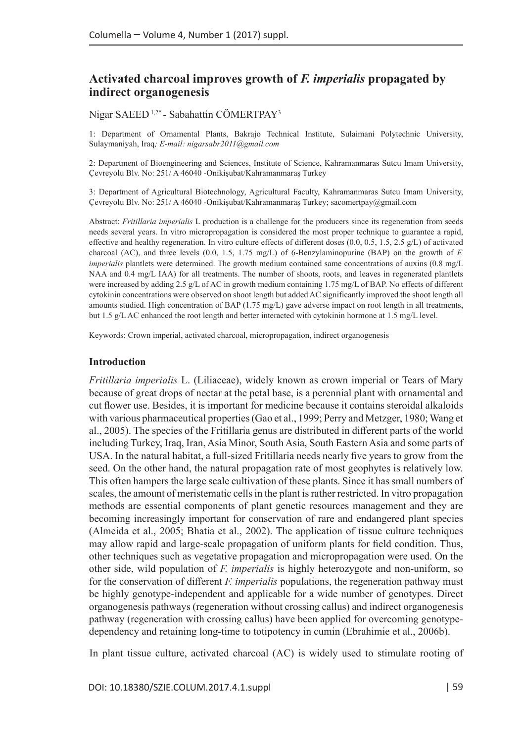# **Activated charcoal improves growth of** *F. imperialis* **propagated by indirect organogenesis**

Nigar SAEED 1,2\* - Sabahattin CÖMERTPAY3

1: Department of Ornamental Plants, Bakrajo Technical Institute, Sulaimani Polytechnic University, Sulaymaniyah, Iraq*; E-mail: nigarsabr2011@gmail.com*

2: Department of Bioengineering and Sciences, Institute of Science, Kahramanmaras Sutcu Imam University, Çevreyolu Blv. No: 251/ A 46040 -Onikişubat/Kahramanmaraş Turkey

3: Department of Agricultural Biotechnology, Agricultural Faculty, Kahramanmaras Sutcu Imam University, Çevreyolu Blv. No: 251/ A 46040 -Onikişubat/Kahramanmaraş Turkey; sacomertpay@gmail.com

Abstract: *Fritillaria imperialis* L production is a challenge for the producers since its regeneration from seeds needs several years. In vitro micropropagation is considered the most proper technique to guarantee a rapid, effective and healthy regeneration. In vitro culture effects of different doses (0.0, 0.5, 1.5, 2.5 g/L) of activated charcoal (AC), and three levels (0.0, 1.5, 1.75 mg/L) of 6-Benzylaminopurine (BAP) on the growth of *F. imperialis* plantlets were determined. The growth medium contained same concentrations of auxins (0.8 mg/L NAA and 0.4 mg/L IAA) for all treatments. The number of shoots, roots, and leaves in regenerated plantlets were increased by adding 2.5 g/L of AC in growth medium containing 1.75 mg/L of BAP. No effects of different cytokinin concentrations were observed on shoot length but added AC significantly improved the shoot length all amounts studied. High concentration of BAP (1.75 mg/L) gave adverse impact on root length in all treatments, but 1.5 g/L AC enhanced the root length and better interacted with cytokinin hormone at 1.5 mg/L level.

Keywords: Crown imperial, activated charcoal, micropropagation, indirect organogenesis

#### **Introduction**

*Fritillaria imperialis* L. (Liliaceae), widely known as crown imperial or Tears of Mary because of great drops of nectar at the petal base, is a perennial plant with ornamental and cut flower use. Besides, it is important for medicine because it contains steroidal alkaloids with various pharmaceutical properties (Gao et al., 1999; Perry and Metzger, 1980; Wang et al., 2005). The species of the Fritillaria genus are distributed in different parts of the world including Turkey, Iraq, Iran, Asia Minor, South Asia, South Eastern Asia and some parts of USA. In the natural habitat, a full-sized Fritillaria needs nearly five years to grow from the seed. On the other hand, the natural propagation rate of most geophytes is relatively low. This often hampers the large scale cultivation of these plants. Since it has small numbers of scales, the amount of meristematic cells in the plant is rather restricted. In vitro propagation methods are essential components of plant genetic resources management and they are becoming increasingly important for conservation of rare and endangered plant species (Almeida et al., 2005; Bhatia et al., 2002). The application of tissue culture techniques may allow rapid and large-scale propagation of uniform plants for field condition. Thus, other techniques such as vegetative propagation and micropropagation were used. On the other side, wild population of *F. imperialis* is highly heterozygote and non-uniform, so for the conservation of different *F. imperialis* populations, the regeneration pathway must be highly genotype-independent and applicable for a wide number of genotypes. Direct organogenesis pathways (regeneration without crossing callus) and indirect organogenesis pathway (regeneration with crossing callus) have been applied for overcoming genotypedependency and retaining long-time to totipotency in cumin (Ebrahimie et al., 2006b).

In plant tissue culture, activated charcoal (AC) is widely used to stimulate rooting of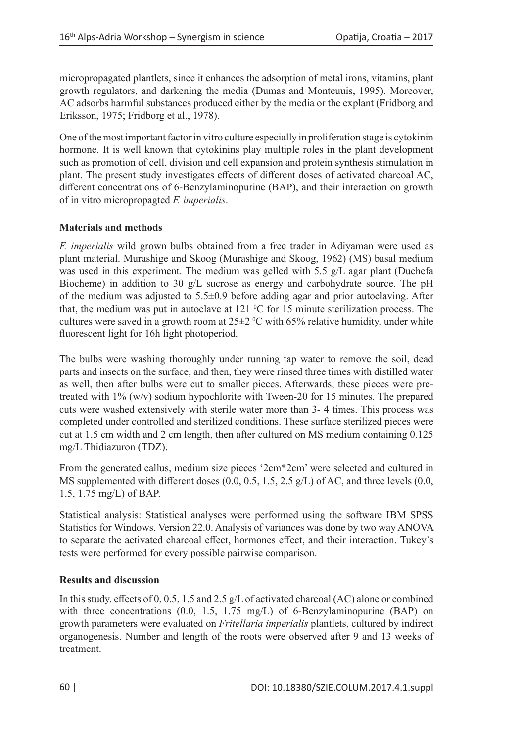micropropagated plantlets, since it enhances the adsorption of metal irons, vitamins, plant growth regulators, and darkening the media (Dumas and Monteuuis, 1995). Moreover, AC adsorbs harmful substances produced either by the media or the explant (Fridborg and Eriksson, 1975; Fridborg et al., 1978).

One of the most important factor in vitro culture especially in proliferation stage is cytokinin hormone. It is well known that cytokinins play multiple roles in the plant development such as promotion of cell, division and cell expansion and protein synthesis stimulation in plant. The present study investigates effects of different doses of activated charcoal AC, different concentrations of 6-Benzylaminopurine (BAP), and their interaction on growth of in vitro micropropagted *F. imperialis*.

## **Materials and methods**

*F. imperialis* wild grown bulbs obtained from a free trader in Adiyaman were used as plant material. Murashige and Skoog (Murashige and Skoog, 1962) (MS) basal medium was used in this experiment. The medium was gelled with 5.5 g/L agar plant (Duchefa Biocheme) in addition to 30 g/L sucrose as energy and carbohydrate source. The pH of the medium was adjusted to 5.5±0.9 before adding agar and prior autoclaving. After that, the medium was put in autoclave at  $121 \,^{\circ}\text{C}$  for 15 minute sterilization process. The cultures were saved in a growth room at  $25\pm2$  °C with 65% relative humidity, under white fluorescent light for 16h light photoperiod.

The bulbs were washing thoroughly under running tap water to remove the soil, dead parts and insects on the surface, and then, they were rinsed three times with distilled water as well, then after bulbs were cut to smaller pieces. Afterwards, these pieces were pretreated with 1% (w/v) sodium hypochlorite with Tween-20 for 15 minutes. The prepared cuts were washed extensively with sterile water more than 3- 4 times. This process was completed under controlled and sterilized conditions. These surface sterilized pieces were cut at 1.5 cm width and 2 cm length, then after cultured on MS medium containing 0.125 mg/L Thidiazuron (TDZ).

From the generated callus, medium size pieces '2cm\*2cm' were selected and cultured in MS supplemented with different doses  $(0.0, 0.5, 1.5, 2.5 \text{ g/L})$  of AC, and three levels  $(0.0, 0.5, 1.5, 2.5 \text{ g/L})$ 1.5, 1.75 mg/L) of BAP.

Statistical analysis: Statistical analyses were performed using the software IBM SPSS Statistics for Windows, Version 22.0. Analysis of variances was done by two way ANOVA to separate the activated charcoal effect, hormones effect, and their interaction. Tukey's tests were performed for every possible pairwise comparison.

## **Results and discussion**

In this study, effects of 0, 0.5, 1.5 and 2.5 g/L of activated charcoal (AC) alone or combined with three concentrations (0.0, 1.5, 1.75 mg/L) of 6-Benzylaminopurine (BAP) on growth parameters were evaluated on *Fritellaria imperialis* plantlets, cultured by indirect organogenesis. Number and length of the roots were observed after 9 and 13 weeks of treatment.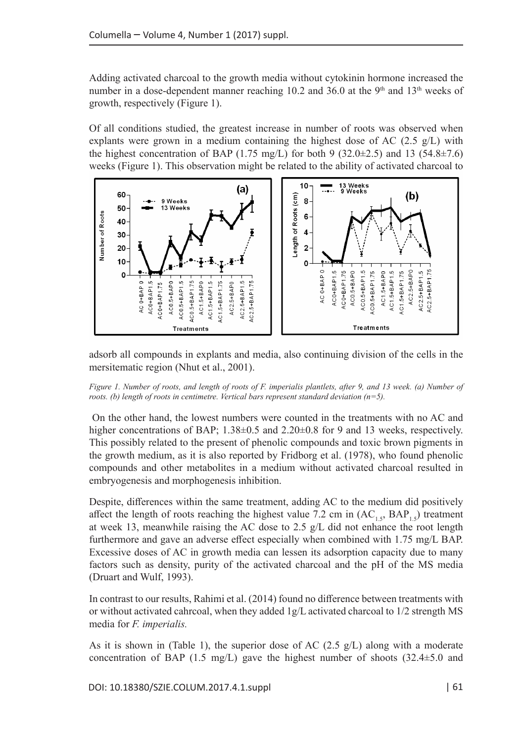Adding activated charcoal to the growth media without cytokinin hormone increased the number in a dose-dependent manner reaching 10.2 and 36.0 at the 9<sup>th</sup> and 13<sup>th</sup> weeks of growth, respectively (Figure 1).

Of all conditions studied, the greatest increase in number of roots was observed when explants were grown in a medium containing the highest dose of AC  $(2.5 \text{ g/L})$  with the highest concentration of BAP (1.75 mg/L) for both 9 (32.0 $\pm$ 2.5) and 13 (54.8 $\pm$ 7.6) weeks (Figure 1). This observation might be related to the ability of activated charcoal to



adsorb all compounds in explants and media, also continuing division of the cells in the mersitematic region (Nhut et al., 2001).

*Figure 1. Number of roots, and length of roots of F. imperialis plantlets, after 9, and 13 week. (a) Number of roots. (b) length of roots in centimetre. Vertical bars represent standard deviation (n=5).*

 On the other hand, the lowest numbers were counted in the treatments with no AC and higher concentrations of BAP; 1.38 $\pm$ 0.5 and 2.20 $\pm$ 0.8 for 9 and 13 weeks, respectively. This possibly related to the present of phenolic compounds and toxic brown pigments in the growth medium, as it is also reported by Fridborg et al. (1978), who found phenolic compounds and other metabolites in a medium without activated charcoal resulted in embryogenesis and morphogenesis inhibition.

Despite, differences within the same treatment, adding AC to the medium did positively affect the length of roots reaching the highest value 7.2 cm in  $(AC<sub>1.5</sub>, BAP<sub>1.5</sub>)$  treatment at week 13, meanwhile raising the AC dose to 2.5 g/L did not enhance the root length furthermore and gave an adverse effect especially when combined with 1.75 mg/L BAP. Excessive doses of AC in growth media can lessen its adsorption capacity due to many factors such as density, purity of the activated charcoal and the pH of the MS media (Druart and Wulf, 1993).

In contrast to our results, Rahimi et al. (2014) found no difference between treatments with or without activated cahrcoal, when they added 1g/L activated charcoal to 1/2 strength MS media for *F. imperialis.*

As it is shown in (Table 1), the superior dose of AC  $(2.5 \text{ g/L})$  along with a moderate concentration of BAP (1.5 mg/L) gave the highest number of shoots  $(32.4\pm5.0 \text{ and }$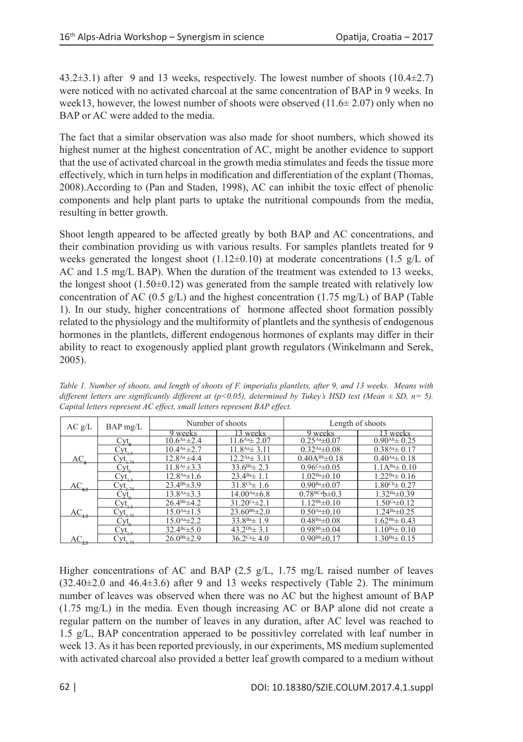43.2±3.1) after 9 and 13 weeks, respectively. The lowest number of shoots (10.4±2.7) were noticed with no activated charcoal at the same concentration of BAP in 9 weeks. In week13, however, the lowest number of shoots were observed  $(11.6\pm 2.07)$  only when no BAP or AC were added to the media.

The fact that a similar observation was also made for shoot numbers, which showed its highest numer at the highest concentration of AC, might be another evidence to support that the use of activated charcoal in the growth media stimulates and feeds the tissue more effectively, which in turn helps in modification and differentiation of the explant (Thomas, 2008).According to (Pan and Staden, 1998), AC can inhibit the toxic effect of phenolic components and help plant parts to uptake the nutritional compounds from the media, resulting in better growth.

Shoot length appeared to be affected greatly by both BAP and AC concentrations, and their combination providing us with various results. For samples plantlets treated for 9 weeks generated the longest shoot  $(1.12\pm0.10)$  at moderate concentrations  $(1.5 \text{ g/L of})$ AC and 1.5 mg/L BAP). When the duration of the treatment was extended to 13 weeks, the longest shoot  $(1.50\pm0.12)$  was generated from the sample treated with relatively low concentration of AC (0.5 g/L) and the highest concentration (1.75 mg/L) of BAP (Table 1). In our study, higher concentrations of hormone affected shoot formation possibly related to the physiology and the multiformity of plantlets and the synthesis of endogenous hormones in the plantlets, different endogenous hormones of explants may differ in their ability to react to exogenously applied plant growth regulators (Winkelmann and Serek, 2005).

| AC g/L        | $BAP$ mg/L            | Number of shoots    |                                 | Length of shoots      |                            |
|---------------|-----------------------|---------------------|---------------------------------|-----------------------|----------------------------|
|               |                       | 9 weeks             | 3 weeks                         | 9 weeks               | 3 weeks                    |
|               | $Cyt_a$               | $10.6^{Aa} \pm 2.4$ | $11.6^{Aa} \pm 2.07$            | $0.25^{Aa} \pm 0.07$  | $0.90^{Ab}$ $\pm 0.25$     |
|               | $\text{Cyt}_{1,5}$    | $10.4^{Aa} \pm 2.7$ | $11.8^{Aa} \pm 3.11$            | $0.32^{Aa} \pm 0.08$  | $0.38^{Aa} \pm 0.17$       |
| $AC_{\bf a}$  | $\text{Cyt}_{1.75}$   | $12.8^{Aa} \pm 4.4$ | $12.2^{Aa} \pm 3.11$            | $0.40A^{Bb} \pm 0.18$ | $0.40^{Aa} \pm 0.18$       |
|               | Cyt <sub>o</sub>      | $11.8^{Aa} \pm 3.3$ | $33.6^{Bb} \pm 2.3$             | $0.96Ca \pm 0.05$     | $1.1A^{Ba}$ $\pm 0.10$     |
|               | $\text{Cyt}_{1,5}$    | $12.8^{Aa} \pm 1.6$ | $23.4^{Ba} \pm 1.1$             | $1.02Ba \pm 0.10$     | $1.22Ba \pm 0.16$          |
| $AC_{_{0.5}}$ | $\text{Cyt}_{1.75}$   | $23.4^{Bb} \pm 3.9$ | $31.8^{\text{cb}}\pm 1.6$       | $0.90Ba \pm 0.07$     | $1.80^{\text{Cb}}\pm 0.27$ |
|               | $\text{Cyt}_\text{o}$ | $13.8^{Aa} \pm 3.3$ | $14.00^{Aa} \pm 6.8$            | $0.78_{BCa}b \pm 0.3$ | $1.32Ba\pm 0.39$           |
|               | $Cyt_{15}$            | $26.4^{Bb} \pm 4.2$ | $31.20$ <sup>cc</sup> $\pm 2.1$ | $1.12^{Bb} \pm 0.10$  | $1.50Ca\pm0.12$            |
| $AC_{1.5}$    | $cyt$ <sub>1.75</sub> | $15.0^{Aa} \pm 1.5$ | $23.60^{Bb} \pm 2.0$            | $0.50^{Aa} \pm 0.10$  | $1.24Ba\pm 0.25$           |
|               | Cyt <sub>o</sub>      | $15.0^{Aa} \pm 2.2$ | $33.8^{Ba}$ ± 1.9               | $0.48Ba \pm 0.08$     | $1.62^{Bb} \pm 0.43$       |
|               | Cyt. .                | $32.4^{Bc} \pm 5.0$ | $43.2^{Db} \pm 3.1$             | $0.98^{Bb} \pm 0.04$  | $1.10^{Ba} \pm 0.10$       |
| $AC_{2.5}$    | Cyt.                  | $26.0^{Bb} \pm 2.9$ | $36.2^{\text{Ca}} \pm 4.0$      | $0.90^{Bb} \pm 0.17$  | $1.30Ba \pm 0.15$          |

*Table 1. Number of shoots, and length of shoots of F. imperialis plantlets, after 9, and 13 weeks. Means with different letters are significantly different at (p<0.05), determined by Tukey's HSD test (Mean ± SD, n= 5). Capital letters represent AC effect, small letters represent BAP effect.*

Higher concentrations of AC and BAP (2.5 g/L, 1.75 mg/L raised number of leaves  $(32.40\pm2.0 \text{ and } 46.4\pm3.6)$  after 9 and 13 weeks respectively (Table 2). The minimum number of leaves was observed when there was no AC but the highest amount of BAP (1.75 mg/L) in the media. Even though increasing AC or BAP alone did not create a regular pattern on the number of leaves in any duration, after AC level was reached to 1.5 g/L, BAP concentration apperaed to be possitivley correlated with leaf number in week 13. As it has been reported previously, in our experiments, MS medium suplemented with activated charcoal also provided a better leaf growth compared to a medium without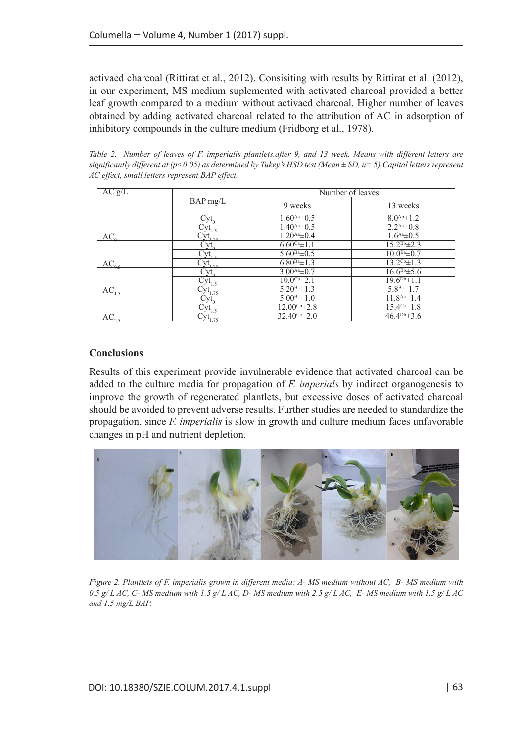activaed charcoal (Rittirat et al., 2012). Consisiting with results by Rittirat et al. (2012), in our experiment, MS medium suplemented with activated charcoal provided a better leaf growth compared to a medium without activaed charcoal. Higher number of leaves obtained by adding activated charcoal related to the attribution of AC in adsorption of inhibitory compounds in the culture medium (Fridborg et al., 1978).

*Table 2. Number of leaves of F. imperialis plantlets.after 9, and 13 week. Means with different letters are*   $significantly different at (p<0.05)$  as determined by Tukey's HSD test (Mean  $\pm$  SD,  $n=5$ ). Capital letters represent *AC effect, small letters represent BAP effect.*

| AC g/L                        |                         | Number of leaves          |                          |  |
|-------------------------------|-------------------------|---------------------------|--------------------------|--|
|                               | $BAP$ mg/L              | 9 weeks                   | 13 weeks                 |  |
|                               | Cyt                     | $1.60^{Aa} \pm 0.5$       | $8.0^{Ab} \pm 1.2$       |  |
|                               | $\text{Cyt}_{15}$       | $1.40^{Aa} \pm 0.5$       | $2.2^{Aa} \pm 0.8$       |  |
| $AC_{\alpha}$                 | $C_{\text{YL}_{1.75-}}$ | $1.20^{Aa} \pm 0.4$       | $1.6^{Aa} \pm 0.5$       |  |
|                               |                         | $6.60^{ca} \pm 1.1$       | $15.2^{Bb} \pm 2.3$      |  |
|                               | $\text{Cyt}_{1}$        | $5.60^{Ba} \pm 0.5$       | $10.0^{Ba}$ $\pm 0.7$    |  |
| $\underline{\text{AC}}_{0.5}$ | $\gamma t_{1.75}$       | $6.80^{Ba}$ $\pm 1.3$     | $13.2^{\text{Cb}}\pm1.3$ |  |
|                               |                         | $3.00^{Aa} \pm 0.7$       | $16.6^{Bb} \pm 5.6$      |  |
|                               | $\text{Cyt}_{1,5}$      | $10.0^{\text{Cb}}\pm 2.1$ | $19.6^{Db} \pm 1.1$      |  |
| $AC_{1.5}$                    | $v_{1.75}$              | $5.20^{Ba} \pm 1.3$       | $5.8^{Ba}$ $\pm$ 1.7     |  |
|                               |                         | $5.00^{Ba} \pm 1.0$       | $11.8^{Aa} \pm 1.4$      |  |
|                               | Cyt.                    | $12.00^{\text{Cb}}\pm2.8$ | $15.4^{Ca} \pm 1.8$      |  |
|                               | $C_{y_{t_{1},2}}$       | $32.40^{\circ}$ $\pm 2.0$ | $46.4^{Db} \pm 3.6$      |  |

### **Conclusions**

Results of this experiment provide invulnerable evidence that activated charcoal can be added to the culture media for propagation of *F. imperials* by indirect organogenesis to improve the growth of regenerated plantlets, but excessive doses of activated charcoal should be avoided to prevent adverse results. Further studies are needed to standardize the propagation, since *F. imperialis* is slow in growth and culture medium faces unfavorable changes in pH and nutrient depletion.



*Figure 2. Plantlets of F. imperialis grown in different media: A- MS medium without AC, B- MS medium with 0.5 g/ L AC, C- MS medium with 1.5 g/ L AC, D- MS medium with 2.5 g/ L AC, E- MS medium with 1.5 g/ L AC and 1.5 mg/L BAP.*